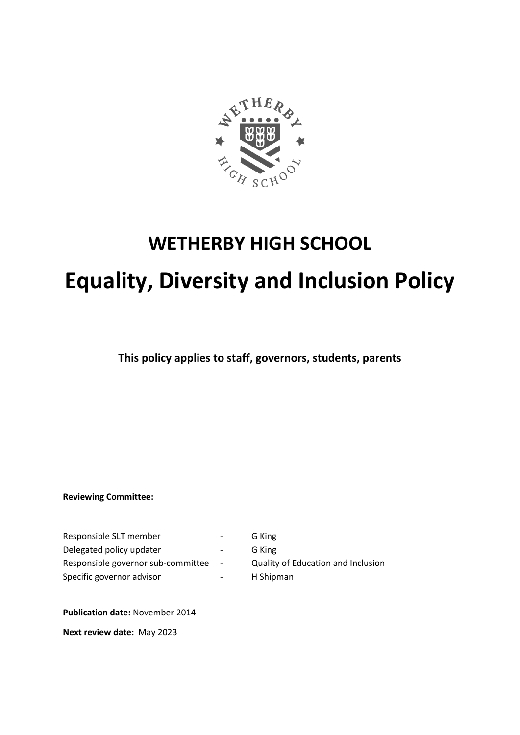

# **WETHERBY HIGH SCHOOL**

# **Equality, Diversity and Inclusion Policy**

**This policy applies to staff, governors, students, parents** 

**Reviewing Committee:** 

Responsible SLT member **1988** - G King Delegated policy updater **come contact as a contact of G** King Responsible governor sub-committee - Quality of Education and Inclusion Specific governor advisor **- COVID-1** H Shipman

**Publication date:** November 2014

**Next review date:** May 2023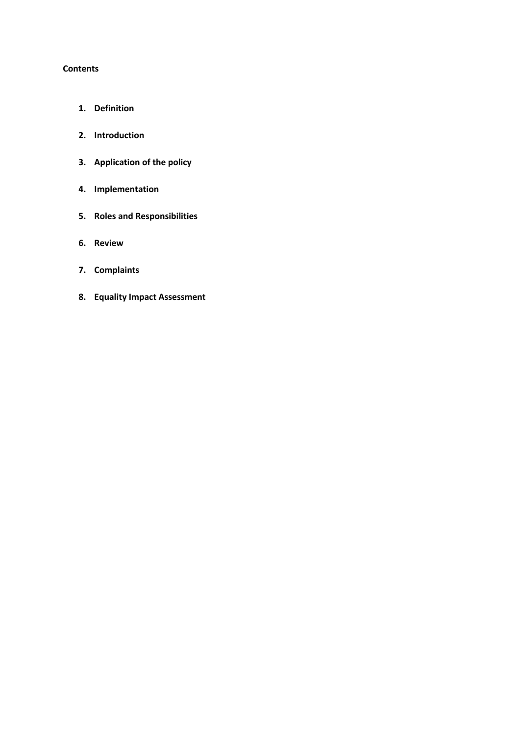#### **Contents**

- **1. Definition**
- **2. Introduction**
- **3. Application of the policy**
- **4. Implementation**
- **5. Roles and Responsibilities**
- **6. Review**
- **7. Complaints**
- **8. Equality Impact Assessment**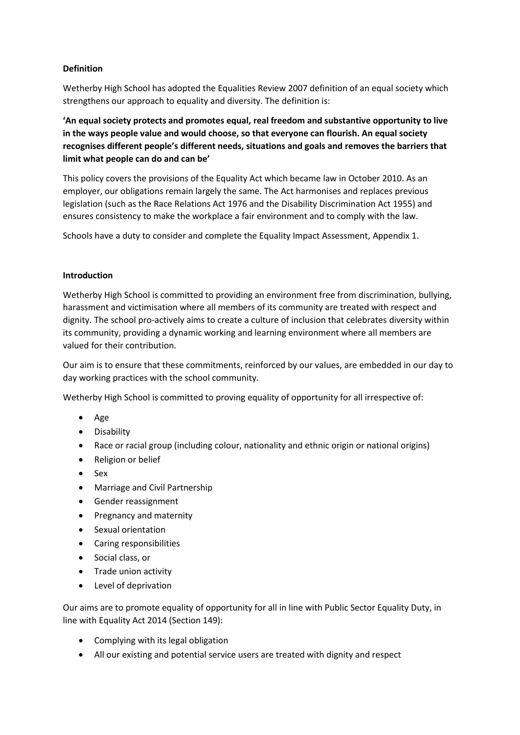#### **Definition**

Wetherby High School has adopted the Equalities Review 2007 definition of an equal society which strengthens our approach to equality and diversity. The definition is:

**'An equal society protects and promotes equal, real freedom and substantive opportunity to live in the ways people value and would choose, so that everyone can flourish. An equal society recognises different people's different needs, situations and goals and removes the barriers that limit what people can do and can be'**

This policy covers the provisions of the Equality Act which became law in October 2010. As an employer, our obligations remain largely the same. The Act harmonises and replaces previous legislation (such as the Race Relations Act 1976 and the Disability Discrimination Act 1955) and ensures consistency to make the workplace a fair environment and to comply with the law.

Schools have a duty to consider and complete the Equality Impact Assessment, Appendix 1.

#### **Introduction**

Wetherby High School is committed to providing an environment free from discrimination, bullying, harassment and victimisation where all members of its community are treated with respect and dignity. The school pro-actively aims to create a culture of inclusion that celebrates diversity within its community, providing a dynamic working and learning environment where all members are valued for their contribution.

Our aim is to ensure that these commitments, reinforced by our values, are embedded in our day to day working practices with the school community.

Wetherby High School is committed to proving equality of opportunity for all irrespective of:

- Age
- Disability
- Race or racial group (including colour, nationality and ethnic origin or national origins)
- Religion or belief
- Sex
- Marriage and Civil Partnership
- Gender reassignment
- Pregnancy and maternity
- Sexual orientation
- Caring responsibilities
- Social class, or
- Trade union activity
- Level of deprivation

Our aims are to promote equality of opportunity for all in line with Public Sector Equality Duty, in line with Equality Act 2014 (Section 149):

- Complying with its legal obligation
- All our existing and potential service users are treated with dignity and respect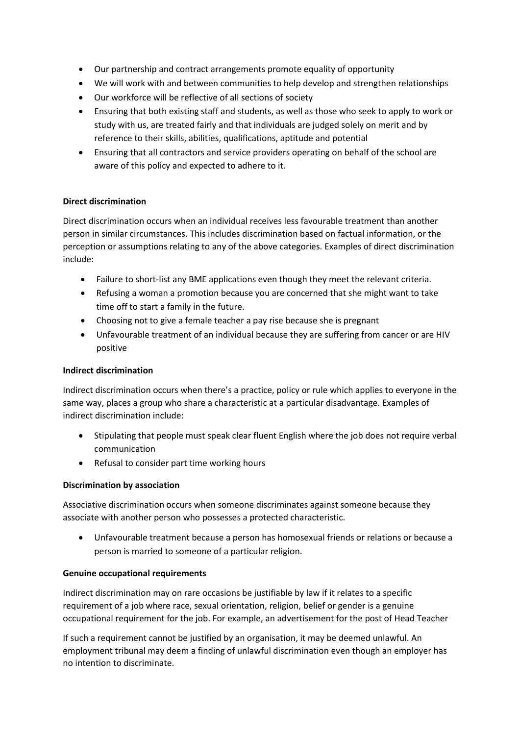- Our partnership and contract arrangements promote equality of opportunity
- We will work with and between communities to help develop and strengthen relationships
- Our workforce will be reflective of all sections of society
- Ensuring that both existing staff and students, as well as those who seek to apply to work or study with us, are treated fairly and that individuals are judged solely on merit and by reference to their skills, abilities, qualifications, aptitude and potential
- Ensuring that all contractors and service providers operating on behalf of the school are aware of this policy and expected to adhere to it.

#### **Direct discrimination**

Direct discrimination occurs when an individual receives less favourable treatment than another person in similar circumstances. This includes discrimination based on factual information, or the perception or assumptions relating to any of the above categories. Examples of direct discrimination include:

- Failure to short-list any BME applications even though they meet the relevant criteria.
- Refusing a woman a promotion because you are concerned that she might want to take time off to start a family in the future.
- Choosing not to give a female teacher a pay rise because she is pregnant
- Unfavourable treatment of an individual because they are suffering from cancer or are HIV positive

#### **Indirect discrimination**

Indirect discrimination occurs when there's a practice, policy or rule which applies to everyone in the same way, places a group who share a characteristic at a particular disadvantage. Examples of indirect discrimination include:

- Stipulating that people must speak clear fluent English where the job does not require verbal communication
- Refusal to consider part time working hours

#### **Discrimination by association**

Associative discrimination occurs when someone discriminates against someone because they associate with another person who possesses a protected characteristic.

• Unfavourable treatment because a person has homosexual friends or relations or because a person is married to someone of a particular religion.

#### **Genuine occupational requirements**

Indirect discrimination may on rare occasions be justifiable by law if it relates to a specific requirement of a job where race, sexual orientation, religion, belief or gender is a genuine occupational requirement for the job. For example, an advertisement for the post of Head Teacher

If such a requirement cannot be justified by an organisation, it may be deemed unlawful. An employment tribunal may deem a finding of unlawful discrimination even though an employer has no intention to discriminate.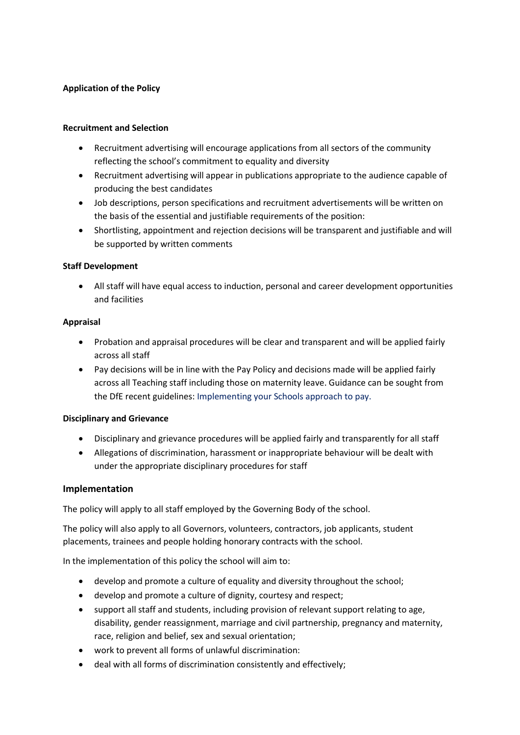#### **Application of the Policy**

#### **Recruitment and Selection**

- Recruitment advertising will encourage applications from all sectors of the community reflecting the school's commitment to equality and diversity
- Recruitment advertising will appear in publications appropriate to the audience capable of producing the best candidates
- Job descriptions, person specifications and recruitment advertisements will be written on the basis of the essential and justifiable requirements of the position:
- Shortlisting, appointment and rejection decisions will be transparent and justifiable and will be supported by written comments

#### **Staff Development**

• All staff will have equal access to induction, personal and career development opportunities and facilities

#### **Appraisal**

- Probation and appraisal procedures will be clear and transparent and will be applied fairly across all staff
- Pay decisions will be in line with the Pay Policy and decisions made will be applied fairly across all Teaching staff including those on maternity leave. Guidance can be sought from the DfE recent guidelines: Implementing your Schools approach to pay.

#### **Disciplinary and Grievance**

- Disciplinary and grievance procedures will be applied fairly and transparently for all staff
- Allegations of discrimination, harassment or inappropriate behaviour will be dealt with under the appropriate disciplinary procedures for staff

#### **Implementation**

The policy will apply to all staff employed by the Governing Body of the school.

The policy will also apply to all Governors, volunteers, contractors, job applicants, student placements, trainees and people holding honorary contracts with the school.

In the implementation of this policy the school will aim to:

- develop and promote a culture of equality and diversity throughout the school;
- develop and promote a culture of dignity, courtesy and respect;
- support all staff and students, including provision of relevant support relating to age, disability, gender reassignment, marriage and civil partnership, pregnancy and maternity, race, religion and belief, sex and sexual orientation;
- work to prevent all forms of unlawful discrimination:
- deal with all forms of discrimination consistently and effectively;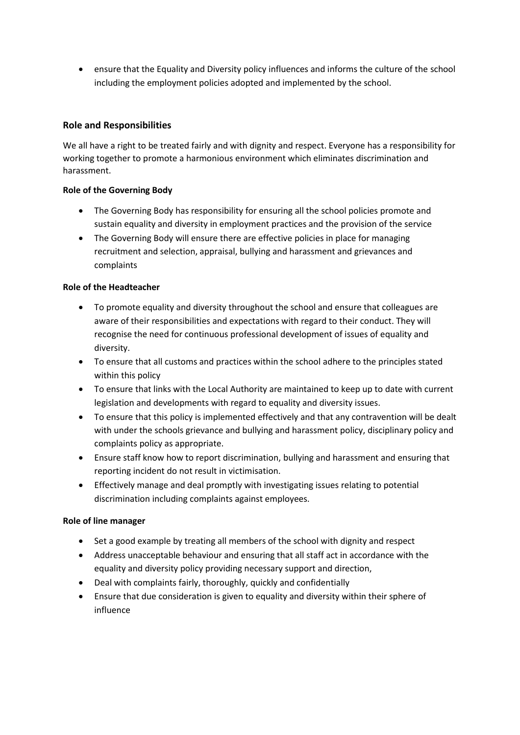• ensure that the Equality and Diversity policy influences and informs the culture of the school including the employment policies adopted and implemented by the school.

### **Role and Responsibilities**

We all have a right to be treated fairly and with dignity and respect. Everyone has a responsibility for working together to promote a harmonious environment which eliminates discrimination and harassment.

#### **Role of the Governing Body**

- The Governing Body has responsibility for ensuring all the school policies promote and sustain equality and diversity in employment practices and the provision of the service
- The Governing Body will ensure there are effective policies in place for managing recruitment and selection, appraisal, bullying and harassment and grievances and complaints

#### **Role of the Headteacher**

- To promote equality and diversity throughout the school and ensure that colleagues are aware of their responsibilities and expectations with regard to their conduct. They will recognise the need for continuous professional development of issues of equality and diversity.
- To ensure that all customs and practices within the school adhere to the principles stated within this policy
- To ensure that links with the Local Authority are maintained to keep up to date with current legislation and developments with regard to equality and diversity issues.
- To ensure that this policy is implemented effectively and that any contravention will be dealt with under the schools grievance and bullying and harassment policy, disciplinary policy and complaints policy as appropriate.
- Ensure staff know how to report discrimination, bullying and harassment and ensuring that reporting incident do not result in victimisation.
- Effectively manage and deal promptly with investigating issues relating to potential discrimination including complaints against employees.

#### **Role of line manager**

- Set a good example by treating all members of the school with dignity and respect
- Address unacceptable behaviour and ensuring that all staff act in accordance with the equality and diversity policy providing necessary support and direction,
- Deal with complaints fairly, thoroughly, quickly and confidentially
- Ensure that due consideration is given to equality and diversity within their sphere of influence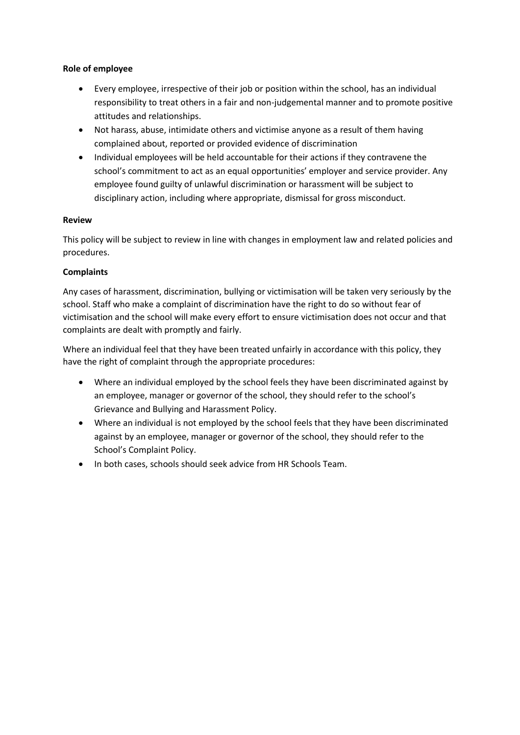#### **Role of employee**

- Every employee, irrespective of their job or position within the school, has an individual responsibility to treat others in a fair and non-judgemental manner and to promote positive attitudes and relationships.
- Not harass, abuse, intimidate others and victimise anyone as a result of them having complained about, reported or provided evidence of discrimination
- Individual employees will be held accountable for their actions if they contravene the school's commitment to act as an equal opportunities' employer and service provider. Any employee found guilty of unlawful discrimination or harassment will be subject to disciplinary action, including where appropriate, dismissal for gross misconduct.

#### **Review**

This policy will be subject to review in line with changes in employment law and related policies and procedures.

#### **Complaints**

Any cases of harassment, discrimination, bullying or victimisation will be taken very seriously by the school. Staff who make a complaint of discrimination have the right to do so without fear of victimisation and the school will make every effort to ensure victimisation does not occur and that complaints are dealt with promptly and fairly.

Where an individual feel that they have been treated unfairly in accordance with this policy, they have the right of complaint through the appropriate procedures:

- Where an individual employed by the school feels they have been discriminated against by an employee, manager or governor of the school, they should refer to the school's Grievance and Bullying and Harassment Policy.
- Where an individual is not employed by the school feels that they have been discriminated against by an employee, manager or governor of the school, they should refer to the School's Complaint Policy.
- In both cases, schools should seek advice from HR Schools Team.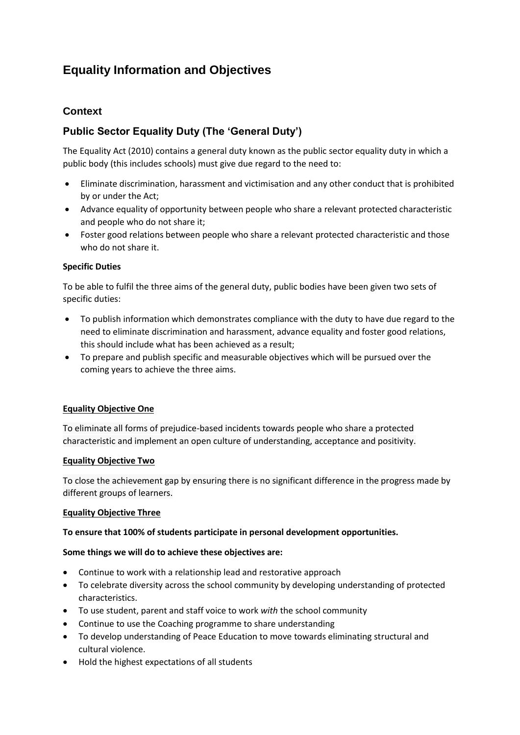# **Equality Information and Objectives**

### **Context**

## **Public Sector Equality Duty (The 'General Duty')**

The Equality Act (2010) contains a general duty known as the public sector equality duty in which a public body (this includes schools) must give due regard to the need to:

- Eliminate discrimination, harassment and victimisation and any other conduct that is prohibited by or under the Act;
- Advance equality of opportunity between people who share a relevant protected characteristic and people who do not share it;
- Foster good relations between people who share a relevant protected characteristic and those who do not share it.

#### **Specific Duties**

To be able to fulfil the three aims of the general duty, public bodies have been given two sets of specific duties:

- To publish information which demonstrates compliance with the duty to have due regard to the need to eliminate discrimination and harassment, advance equality and foster good relations, this should include what has been achieved as a result;
- To prepare and publish specific and measurable objectives which will be pursued over the coming years to achieve the three aims.

#### **Equality Objective One**

To eliminate all forms of prejudice-based incidents towards people who share a protected characteristic and implement an open culture of understanding, acceptance and positivity.

#### **Equality Objective Two**

To close the achievement gap by ensuring there is no significant difference in the progress made by different groups of learners.

#### **Equality Objective Three**

#### **To ensure that 100% of students participate in personal development opportunities.**

#### **Some things we will do to achieve these objectives are:**

- Continue to work with a relationship lead and restorative approach
- To celebrate diversity across the school community by developing understanding of protected characteristics.
- To use student, parent and staff voice to work *with* the school community
- Continue to use the Coaching programme to share understanding
- To develop understanding of Peace Education to move towards eliminating structural and cultural violence.
- Hold the highest expectations of all students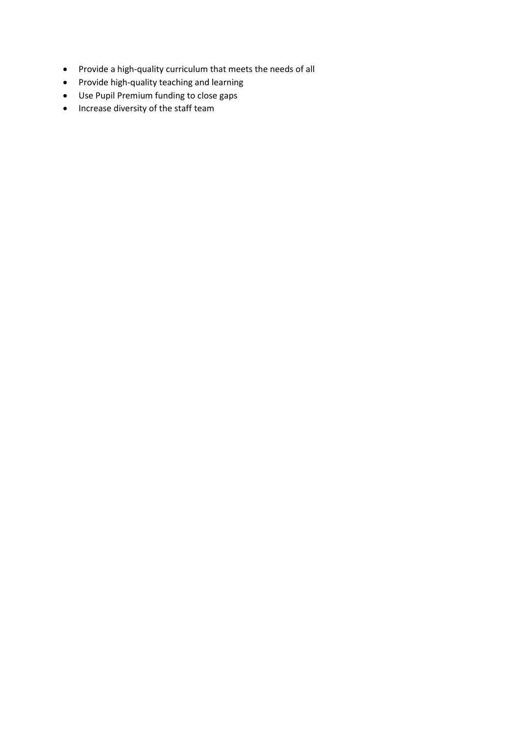- Provide a high-quality curriculum that meets the needs of all
- Provide high-quality teaching and learning
- Use Pupil Premium funding to close gaps
- Increase diversity of the staff team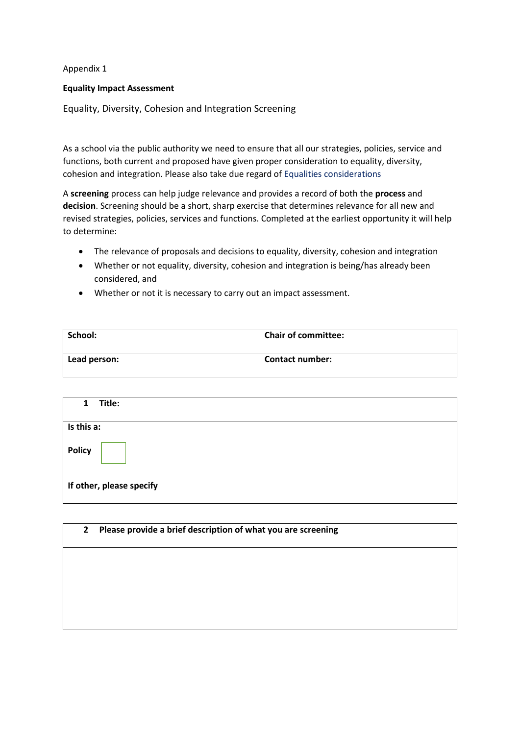Appendix 1

#### **Equality Impact Assessment**

Equality, Diversity, Cohesion and Integration Screening

As a school via the public authority we need to ensure that all our strategies, policies, service and functions, both current and proposed have given proper consideration to equality, diversity, cohesion and integration. Please also take due regard of Equalities considerations

A **screening** process can help judge relevance and provides a record of both the **process** and **decision**. Screening should be a short, sharp exercise that determines relevance for all new and revised strategies, policies, services and functions. Completed at the earliest opportunity it will help to determine:

- The relevance of proposals and decisions to equality, diversity, cohesion and integration
- Whether or not equality, diversity, cohesion and integration is being/has already been considered, and
- Whether or not it is necessary to carry out an impact assessment.

| School:      | <b>Chair of committee:</b> |
|--------------|----------------------------|
| Lead person: | <b>Contact number:</b>     |

| $\mathbf{1}$ | Title:                   |
|--------------|--------------------------|
| Is this a:   |                          |
| Policy       |                          |
|              | If other, please specify |

| $\mathbf{2}$ | Please provide a brief description of what you are screening |  |  |  |
|--------------|--------------------------------------------------------------|--|--|--|
|              |                                                              |  |  |  |
|              |                                                              |  |  |  |
|              |                                                              |  |  |  |
|              |                                                              |  |  |  |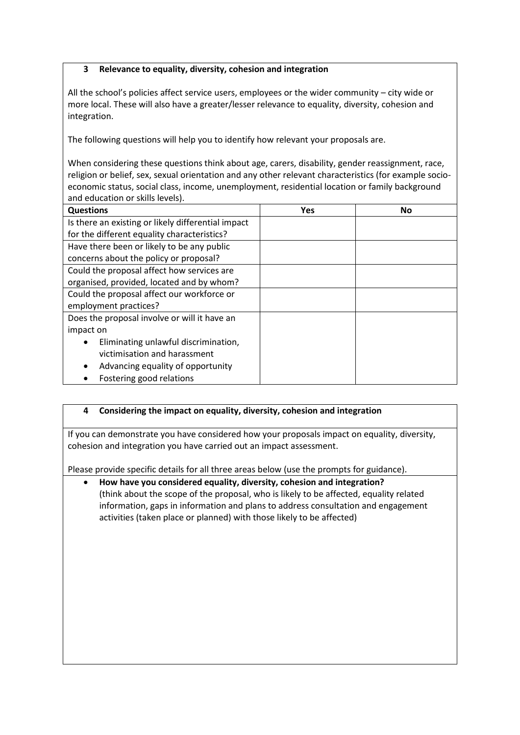#### **3 Relevance to equality, diversity, cohesion and integration**

All the school's policies affect service users, employees or the wider community – city wide or more local. These will also have a greater/lesser relevance to equality, diversity, cohesion and integration.

The following questions will help you to identify how relevant your proposals are.

When considering these questions think about age, carers, disability, gender reassignment, race, religion or belief, sex, sexual orientation and any other relevant characteristics (for example socioeconomic status, social class, income, unemployment, residential location or family background and education or skills levels).

| <b>Questions</b>                                   | Yes | No |
|----------------------------------------------------|-----|----|
| Is there an existing or likely differential impact |     |    |
| for the different equality characteristics?        |     |    |
| Have there been or likely to be any public         |     |    |
| concerns about the policy or proposal?             |     |    |
| Could the proposal affect how services are         |     |    |
| organised, provided, located and by whom?          |     |    |
| Could the proposal affect our workforce or         |     |    |
| employment practices?                              |     |    |
| Does the proposal involve or will it have an       |     |    |
| impact on                                          |     |    |
| Eliminating unlawful discrimination,<br>$\bullet$  |     |    |
| victimisation and harassment                       |     |    |
| Advancing equality of opportunity                  |     |    |
| Fostering good relations                           |     |    |

#### **4 Considering the impact on equality, diversity, cohesion and integration**

If you can demonstrate you have considered how your proposals impact on equality, diversity, cohesion and integration you have carried out an impact assessment.

Please provide specific details for all three areas below (use the prompts for guidance).

• **How have you considered equality, diversity, cohesion and integration?** (think about the scope of the proposal, who is likely to be affected, equality related information, gaps in information and plans to address consultation and engagement activities (taken place or planned) with those likely to be affected)